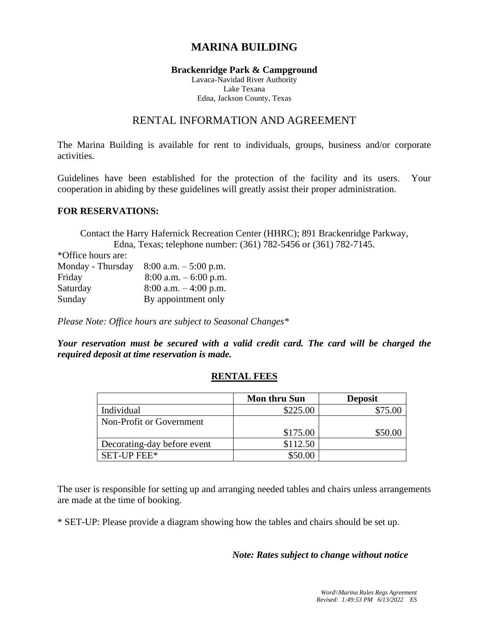# **MARINA BUILDING**

#### **Brackenridge Park & Campground**

Lavaca-Navidad River Authority Lake Texana Edna, Jackson County, Texas

# RENTAL INFORMATION AND AGREEMENT

The Marina Building is available for rent to individuals, groups, business and/or corporate activities.

Guidelines have been established for the protection of the facility and its users. Your cooperation in abiding by these guidelines will greatly assist their proper administration.

#### **FOR RESERVATIONS:**

Contact the Harry Hafernick Recreation Center (HHRC); 891 Brackenridge Parkway, Edna, Texas; telephone number: (361) 782-5456 or (361) 782-7145.

\*Office hours are:

| Monday - Thursday | $8:00$ a.m. $-5:00$ p.m. |
|-------------------|--------------------------|
| Friday            | $8:00$ a.m. $-6:00$ p.m. |
| Saturday          | $8:00$ a.m. $-4:00$ p.m. |
| Sunday            | By appointment only      |

*Please Note: Office hours are subject to Seasonal Changes\**

*Your reservation must be secured with a valid credit card. The card will be charged the required deposit at time reservation is made.*

### **RENTAL FEES**

|                             | <b>Mon thru Sun</b> | <b>Deposit</b> |
|-----------------------------|---------------------|----------------|
| Individual                  | \$225.00            | \$75.00        |
| Non-Profit or Government    |                     |                |
|                             | \$175.00            | \$50.00        |
| Decorating-day before event | \$112.50            |                |
| <b>SET-UP FEE*</b>          | \$50.00             |                |

The user is responsible for setting up and arranging needed tables and chairs unless arrangements are made at the time of booking.

\* SET-UP: Please provide a diagram showing how the tables and chairs should be set up.

### *Note: Rates subject to change without notice*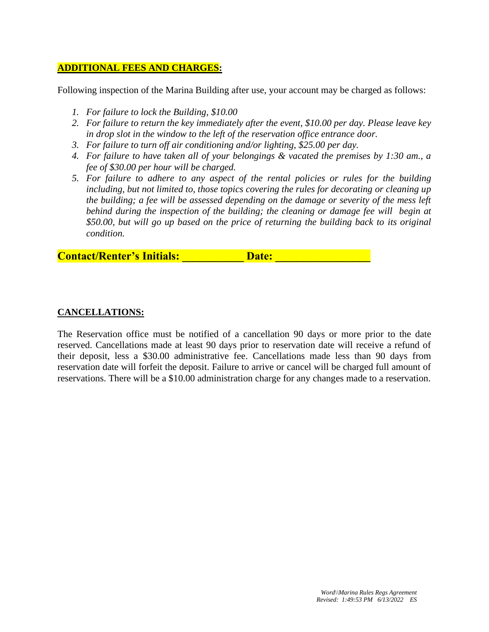### **ADDITIONAL FEES AND CHARGES:**

Following inspection of the Marina Building after use, your account may be charged as follows:

- *1. For failure to lock the Building, \$10.00*
- *2. For failure to return the key immediately after the event, \$10.00 per day. Please leave key in drop slot in the window to the left of the reservation office entrance door.*
- *3. For failure to turn off air conditioning and/or lighting, \$25.00 per day.*
- *4. For failure to have taken all of your belongings & vacated the premises by 1:30 am., a fee of \$30.00 per hour will be charged.*
- *5. For failure to adhere to any aspect of the rental policies or rules for the building including, but not limited to, those topics covering the rules for decorating or cleaning up the building; a fee will be assessed depending on the damage or severity of the mess left*  behind during the inspection of the building; the cleaning or damage fee will begin at *\$50.00, but will go up based on the price of returning the building back to its original condition.*

**Contact/Renter's Initials: Contact/Renter's Initials:** 

### **CANCELLATIONS:**

The Reservation office must be notified of a cancellation 90 days or more prior to the date reserved. Cancellations made at least 90 days prior to reservation date will receive a refund of their deposit, less a \$30.00 administrative fee. Cancellations made less than 90 days from reservation date will forfeit the deposit. Failure to arrive or cancel will be charged full amount of reservations. There will be a \$10.00 administration charge for any changes made to a reservation.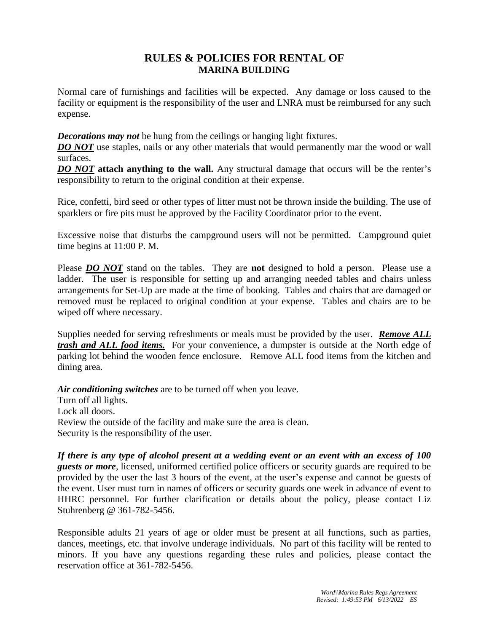# **RULES & POLICIES FOR RENTAL OF MARINA BUILDING**

Normal care of furnishings and facilities will be expected. Any damage or loss caused to the facility or equipment is the responsibility of the user and LNRA must be reimbursed for any such expense.

*Decorations may not* be hung from the ceilings or hanging light fixtures.

**DO NOT** use staples, nails or any other materials that would permanently mar the wood or wall surfaces.

*DO NOT* **attach anything to the wall.** Any structural damage that occurs will be the renter's responsibility to return to the original condition at their expense.

Rice, confetti, bird seed or other types of litter must not be thrown inside the building. The use of sparklers or fire pits must be approved by the Facility Coordinator prior to the event.

Excessive noise that disturbs the campground users will not be permitted. Campground quiet time begins at 11:00 P. M.

Please *DO NOT* stand on the tables. They are **not** designed to hold a person. Please use a ladder. The user is responsible for setting up and arranging needed tables and chairs unless arrangements for Set-Up are made at the time of booking. Tables and chairs that are damaged or removed must be replaced to original condition at your expense. Tables and chairs are to be wiped off where necessary.

Supplies needed for serving refreshments or meals must be provided by the user. *Remove ALL trash and ALL food items.* For your convenience, a dumpster is outside at the North edge of parking lot behind the wooden fence enclosure. Remove ALL food items from the kitchen and dining area.

*Air conditioning switches* are to be turned off when you leave.

Turn off all lights. Lock all doors. Review the outside of the facility and make sure the area is clean. Security is the responsibility of the user.

*If there is any type of alcohol present at a wedding event or an event with an excess of 100 guests or more*, licensed, uniformed certified police officers or security guards are required to be provided by the user the last 3 hours of the event, at the user's expense and cannot be guests of the event. User must turn in names of officers or security guards one week in advance of event to HHRC personnel. For further clarification or details about the policy, please contact Liz Stuhrenberg @ 361-782-5456.

Responsible adults 21 years of age or older must be present at all functions, such as parties, dances, meetings, etc. that involve underage individuals. No part of this facility will be rented to minors. If you have any questions regarding these rules and policies, please contact the reservation office at 361-782-5456.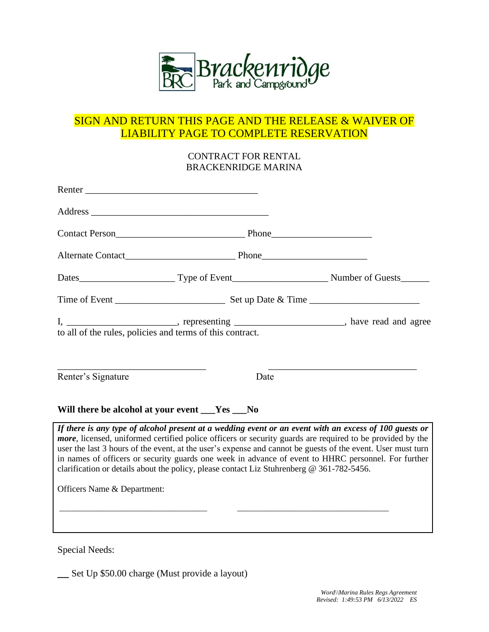

# SIGN AND RETURN THIS PAGE AND THE RELEASE & WAIVER OF LIABILITY PAGE TO COMPLETE RESERVATION

### CONTRACT FOR RENTAL BRACKENRIDGE MARINA

| Alternate Contact Phone Phone                                                                                                                                                                                                                                                                                                                                                                                                                                                                                                                  |      |  |  |
|------------------------------------------------------------------------------------------------------------------------------------------------------------------------------------------------------------------------------------------------------------------------------------------------------------------------------------------------------------------------------------------------------------------------------------------------------------------------------------------------------------------------------------------------|------|--|--|
|                                                                                                                                                                                                                                                                                                                                                                                                                                                                                                                                                |      |  |  |
|                                                                                                                                                                                                                                                                                                                                                                                                                                                                                                                                                |      |  |  |
| I, ________________________________, representing _____________________________, have read and agree<br>to all of the rules, policies and terms of this contract.                                                                                                                                                                                                                                                                                                                                                                              |      |  |  |
| Renter's Signature                                                                                                                                                                                                                                                                                                                                                                                                                                                                                                                             | Date |  |  |
| Will there be alcohol at your event __Yes __No                                                                                                                                                                                                                                                                                                                                                                                                                                                                                                 |      |  |  |
| If there is any type of alcohol present at a wedding event or an event with an excess of 100 guests or<br><i>more</i> , licensed, uniformed certified police officers or security guards are required to be provided by the<br>user the last 3 hours of the event, at the user's expense and cannot be guests of the event. User must turn<br>in names of officers or security guards one week in advance of event to HHRC personnel. For further<br>clarification or details about the policy, please contact Liz Stuhrenberg @ 361-782-5456. |      |  |  |
| Officers Name & Department:                                                                                                                                                                                                                                                                                                                                                                                                                                                                                                                    |      |  |  |
|                                                                                                                                                                                                                                                                                                                                                                                                                                                                                                                                                |      |  |  |

Special Needs:

**\_\_** Set Up \$50.00 charge (Must provide a layout)